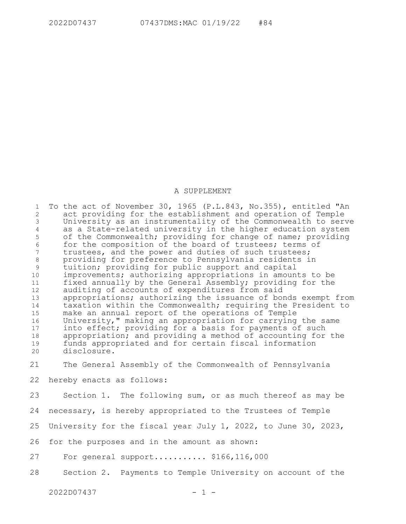## A SUPPLEMENT

To the act of November 30, 1965 (P.L.843, No.355), entitled "An act providing for the establishment and operation of Temple University as an instrumentality of the Commonwealth to serve as a State-related university in the higher education system of the Commonwealth; providing for change of name; providing for the composition of the board of trustees; terms of trustees, and the power and duties of such trustees; providing for preference to Pennsylvania residents in tuition; providing for public support and capital improvements; authorizing appropriations in amounts to be fixed annually by the General Assembly; providing for the auditing of accounts of expenditures from said appropriations; authorizing the issuance of bonds exempt from taxation within the Commonwealth; requiring the President to make an annual report of the operations of Temple University," making an appropriation for carrying the same into effect; providing for a basis for payments of such appropriation; and providing a method of accounting for the funds appropriated and for certain fiscal information disclosure. 1 2 3 4 5 6 7 8 9 10 11 12 13 14 15 16 17 18 19 20

The General Assembly of the Commonwealth of Pennsylvania 21

hereby enacts as follows: 22

Section 1. The following sum, or as much thereof as may be 23

necessary, is hereby appropriated to the Trustees of Temple 24

University for the fiscal year July 1, 2022, to June 30, 2023, 25

for the purposes and in the amount as shown: 26

For general support..............  $$166, 116, 000$ 27

Section 2. Payments to Temple University on account of the 28

 $2022D07437$  - 1 -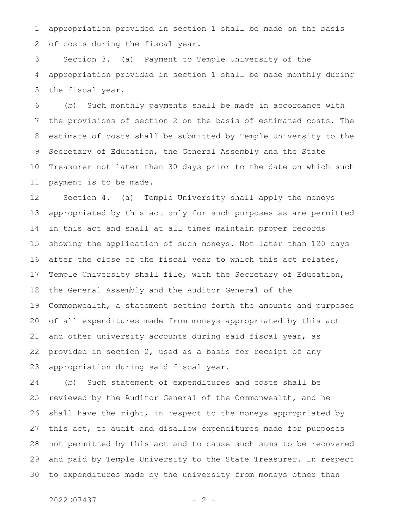appropriation provided in section 1 shall be made on the basis of costs during the fiscal year. 1 2

Section 3. (a) Payment to Temple University of the appropriation provided in section 1 shall be made monthly during the fiscal year. 3 4 5

(b) Such monthly payments shall be made in accordance with the provisions of section 2 on the basis of estimated costs. The estimate of costs shall be submitted by Temple University to the Secretary of Education, the General Assembly and the State Treasurer not later than 30 days prior to the date on which such payment is to be made. 6 7 8 9 10 11

Section 4. (a) Temple University shall apply the moneys appropriated by this act only for such purposes as are permitted in this act and shall at all times maintain proper records showing the application of such moneys. Not later than 120 days after the close of the fiscal year to which this act relates, Temple University shall file, with the Secretary of Education, the General Assembly and the Auditor General of the Commonwealth, a statement setting forth the amounts and purposes of all expenditures made from moneys appropriated by this act and other university accounts during said fiscal year, as provided in section 2, used as a basis for receipt of any appropriation during said fiscal year. 12 13 14 15 16 17 18 19 20 21 22 23

(b) Such statement of expenditures and costs shall be reviewed by the Auditor General of the Commonwealth, and he shall have the right, in respect to the moneys appropriated by this act, to audit and disallow expenditures made for purposes not permitted by this act and to cause such sums to be recovered and paid by Temple University to the State Treasurer. In respect to expenditures made by the university from moneys other than 24 25 26 27 28 29 30